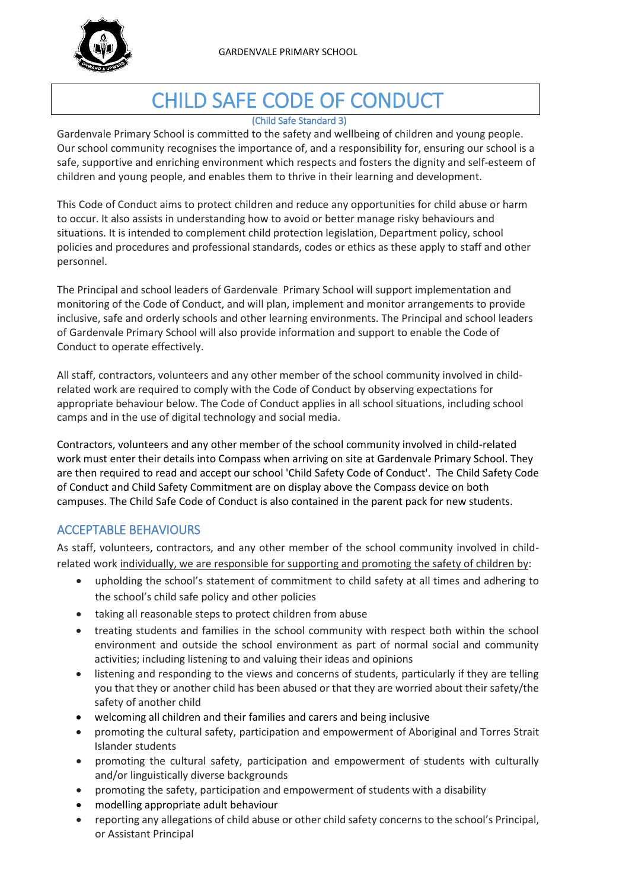

# CHILD SAFE CODE OF CONDUCT

#### (Child Safe Standard 3)

Gardenvale Primary School is committed to the safety and wellbeing of children and young people. Our school community recognises the importance of, and a responsibility for, ensuring our school is a safe, supportive and enriching environment which respects and fosters the dignity and self-esteem of children and young people, and enables them to thrive in their learning and development.

This Code of Conduct aims to protect children and reduce any opportunities for child abuse or harm to occur. It also assists in understanding how to avoid or better manage risky behaviours and situations. It is intended to complement child protection legislation, Department policy, school policies and procedures and professional standards, codes or ethics as these apply to staff and other personnel.

The Principal and school leaders of Gardenvale Primary School will support implementation and monitoring of the Code of Conduct, and will plan, implement and monitor arrangements to provide inclusive, safe and orderly schools and other learning environments. The Principal and school leaders of Gardenvale Primary School will also provide information and support to enable the Code of Conduct to operate effectively.

All staff, contractors, volunteers and any other member of the school community involved in childrelated work are required to comply with the Code of Conduct by observing expectations for appropriate behaviour below. The Code of Conduct applies in all school situations, including school camps and in the use of digital technology and social media.

Contractors, volunteers and any other member of the school community involved in child-related work must enter their details into Compass when arriving on site at Gardenvale Primary School. They are then required to read and accept our school 'Child Safety Code of Conduct'. The Child Safety Code of Conduct and Child Safety Commitment are on display above the Compass device on both campuses. The Child Safe Code of Conduct is also contained in the parent pack for new students.

## ACCEPTABLE BEHAVIOURS

As staff, volunteers, contractors, and any other member of the school community involved in childrelated work individually, we are responsible for supporting and promoting the safety of children by:

- upholding the school's statement of commitment to child safety at all times and adhering to the school's child safe policy and other policies
- taking all reasonable steps to protect children from abuse
- treating students and families in the school community with respect both within the school environment and outside the school environment as part of normal social and community activities; including listening to and valuing their ideas and opinions
- listening and responding to the views and concerns of students, particularly if they are telling you that they or another child has been abused or that they are worried about their safety/the safety of another child
- welcoming all children and their families and carers and being inclusive
- promoting the cultural safety, participation and empowerment of Aboriginal and Torres Strait Islander students
- promoting the cultural safety, participation and empowerment of students with culturally and/or linguistically diverse backgrounds
- promoting the safety, participation and empowerment of students with a disability
- modelling appropriate adult behaviour
- reporting any allegations of child abuse or other child safety concerns to the school's Principal, or Assistant Principal